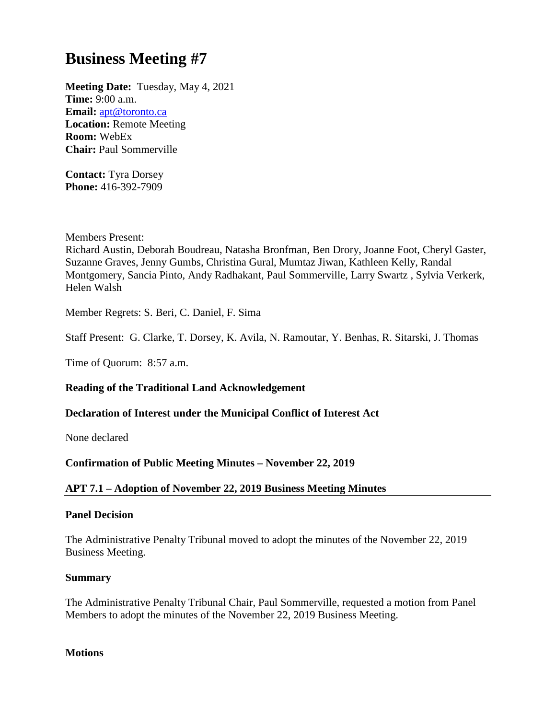# **Business Meeting #7**

**Meeting Date:** Tuesday, May 4, 2021 **Time:** 9:00 a.m. **Email:** [apt@toronto.ca](mailto:apt@toronto.ca) **Location:** Remote Meeting **Room:** WebEx **Chair:** Paul Sommerville

**Contact:** Tyra Dorsey **Phone:** 416-392-7909

Members Present:

Richard Austin, Deborah Boudreau, Natasha Bronfman, Ben Drory, Joanne Foot, Cheryl Gaster, Suzanne Graves, Jenny Gumbs, Christina Gural, Mumtaz Jiwan, Kathleen Kelly, Randal Montgomery, Sancia Pinto, Andy Radhakant, Paul Sommerville, Larry Swartz , Sylvia Verkerk, Helen Walsh

Member Regrets: S. Beri, C. Daniel, F. Sima

Staff Present: G. Clarke, T. Dorsey, K. Avila, N. Ramoutar, Y. Benhas, R. Sitarski, J. Thomas

Time of Quorum: 8:57 a.m.

# **Reading of the Traditional Land Acknowledgement**

# **Declaration of Interest under the Municipal Conflict of Interest Act**

None declared

# **Confirmation of Public Meeting Minutes – November 22, 2019**

# **APT 7.1 – Adoption of November 22, 2019 Business Meeting Minutes**

## **Panel Decision**

The Administrative Penalty Tribunal moved to adopt the minutes of the November 22, 2019 Business Meeting.

## **Summary**

The Administrative Penalty Tribunal Chair, Paul Sommerville, requested a motion from Panel Members to adopt the minutes of the November 22, 2019 Business Meeting.

## **Motions**